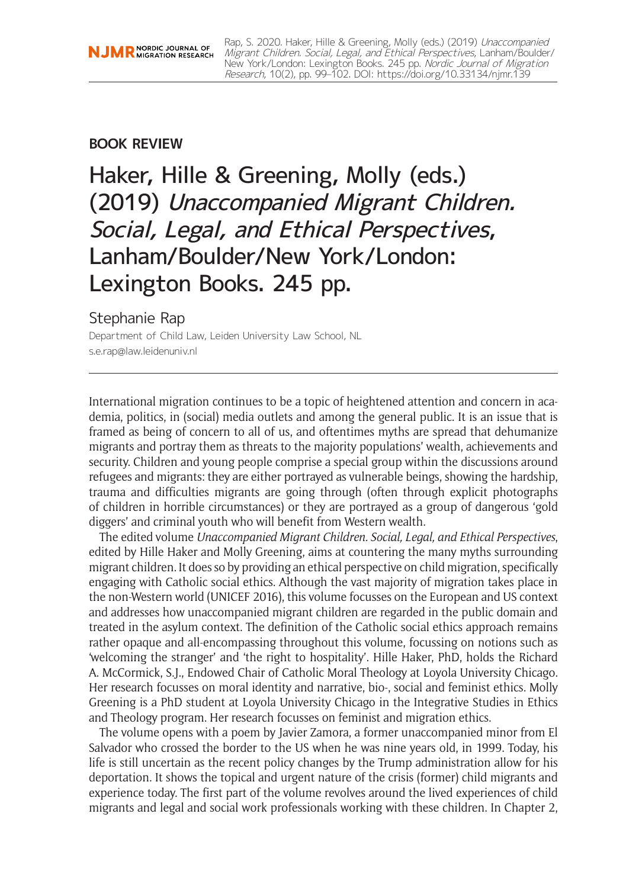## **BOOK REVIEW**

# Haker, Hille & Greening, Molly (eds.) (2019) Unaccompanied Migrant Children. Social, Legal, and Ethical Perspectives, Lanham/Boulder/New York/London: Lexington Books. 245 pp.

## Stephanie Rap

Department of Child Law, Leiden University Law School, NL [s.e.rap@law.leidenuniv.nl](mailto:s.e.rap@law.leidenuniv.nl)

International migration continues to be a topic of heightened attention and concern in academia, politics, in (social) media outlets and among the general public. It is an issue that is framed as being of concern to all of us, and oftentimes myths are spread that dehumanize migrants and portray them as threats to the majority populations' wealth, achievements and security. Children and young people comprise a special group within the discussions around refugees and migrants: they are either portrayed as vulnerable beings, showing the hardship, trauma and difficulties migrants are going through (often through explicit photographs of children in horrible circumstances) or they are portrayed as a group of dangerous 'gold diggers' and criminal youth who will benefit from Western wealth.

The edited volume *Unaccompanied Migrant Children. Social, Legal, and Ethical Perspectives*, edited by Hille Haker and Molly Greening, aims at countering the many myths surrounding migrant children. It does so by providing an ethical perspective on child migration, specifically engaging with Catholic social ethics. Although the vast majority of migration takes place in the non-Western world (UNICEF 2016), this volume focusses on the European and US context and addresses how unaccompanied migrant children are regarded in the public domain and treated in the asylum context. The definition of the Catholic social ethics approach remains rather opaque and all-encompassing throughout this volume, focussing on notions such as 'welcoming the stranger' and 'the right to hospitality'. Hille Haker, PhD, holds the Richard A. McCormick, S.J., Endowed Chair of Catholic Moral Theology at Loyola University Chicago. Her research focusses on moral identity and narrative, bio-, social and feminist ethics. Molly Greening is a PhD student at Loyola University Chicago in the Integrative Studies in Ethics and Theology program. Her research focusses on feminist and migration ethics.

The volume opens with a poem by Javier Zamora, a former unaccompanied minor from El Salvador who crossed the border to the US when he was nine years old, in 1999. Today, his life is still uncertain as the recent policy changes by the Trump administration allow for his deportation. It shows the topical and urgent nature of the crisis (former) child migrants and experience today. The first part of the volume revolves around the lived experiences of child migrants and legal and social work professionals working with these children. In Chapter 2,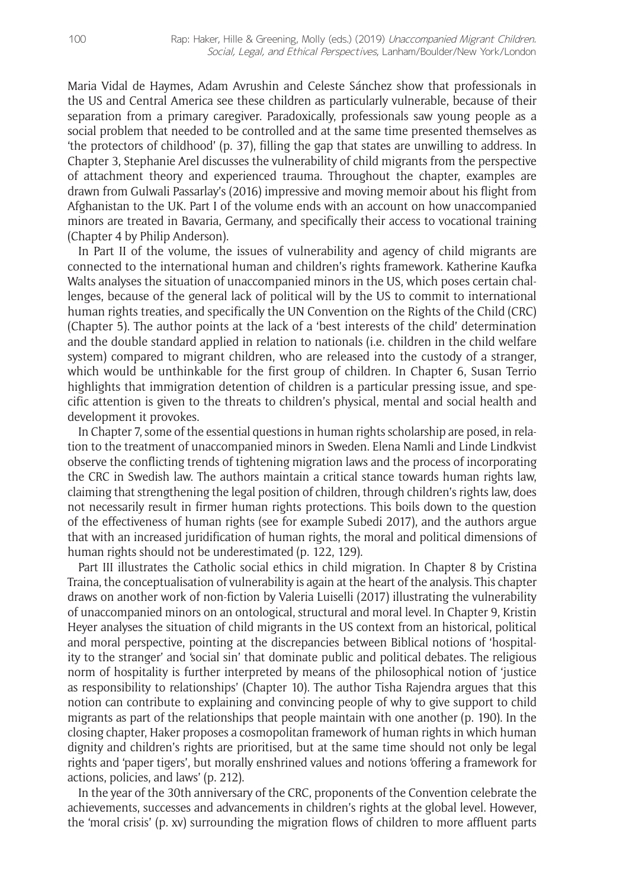Maria Vidal de Haymes, Adam Avrushin and Celeste Sánchez show that professionals in the US and Central America see these children as particularly vulnerable, because of their separation from a primary caregiver. Paradoxically, professionals saw young people as a social problem that needed to be controlled and at the same time presented themselves as 'the protectors of childhood' (p. 37), filling the gap that states are unwilling to address. In Chapter 3, Stephanie Arel discusses the vulnerability of child migrants from the perspective of attachment theory and experienced trauma. Throughout the chapter, examples are drawn from Gulwali Passarlay's (2016) impressive and moving memoir about his flight from Afghanistan to the UK. Part I of the volume ends with an account on how unaccompanied minors are treated in Bavaria, Germany, and specifically their access to vocational training (Chapter 4 by Philip Anderson).

In Part II of the volume, the issues of vulnerability and agency of child migrants are connected to the international human and children's rights framework. Katherine Kaufka Walts analyses the situation of unaccompanied minors in the US, which poses certain challenges, because of the general lack of political will by the US to commit to international human rights treaties, and specifically the UN Convention on the Rights of the Child (CRC) (Chapter 5). The author points at the lack of a 'best interests of the child' determination and the double standard applied in relation to nationals (i.e. children in the child welfare system) compared to migrant children, who are released into the custody of a stranger, which would be unthinkable for the first group of children. In Chapter 6, Susan Terrio highlights that immigration detention of children is a particular pressing issue, and specific attention is given to the threats to children's physical, mental and social health and development it provokes.

In Chapter 7, some of the essential questions in human rights scholarship are posed, in relation to the treatment of unaccompanied minors in Sweden. Elena Namli and Linde Lindkvist observe the conflicting trends of tightening migration laws and the process of incorporating the CRC in Swedish law. The authors maintain a critical stance towards human rights law, claiming that strengthening the legal position of children, through children's rights law, does not necessarily result in firmer human rights protections. This boils down to the question of the effectiveness of human rights (see for example Subedi 2017), and the authors argue that with an increased juridification of human rights, the moral and political dimensions of human rights should not be underestimated (p. 122, 129).

Part III illustrates the Catholic social ethics in child migration. In Chapter 8 by Cristina Traina, the conceptualisation of vulnerability is again at the heart of the analysis. This chapter draws on another work of non-fiction by Valeria Luiselli (2017) illustrating the vulnerability of unaccompanied minors on an ontological, structural and moral level. In Chapter 9, Kristin Heyer analyses the situation of child migrants in the US context from an historical, political and moral perspective, pointing at the discrepancies between Biblical notions of 'hospitality to the stranger' and 'social sin' that dominate public and political debates. The religious norm of hospitality is further interpreted by means of the philosophical notion of 'justice as responsibility to relationships' (Chapter 10). The author Tisha Rajendra argues that this notion can contribute to explaining and convincing people of why to give support to child migrants as part of the relationships that people maintain with one another (p. 190). In the closing chapter, Haker proposes a cosmopolitan framework of human rights in which human dignity and children's rights are prioritised, but at the same time should not only be legal rights and 'paper tigers', but morally enshrined values and notions 'offering a framework for actions, policies, and laws' (p. 212).

In the year of the 30th anniversary of the CRC, proponents of the Convention celebrate the achievements, successes and advancements in children's rights at the global level. However, the 'moral crisis' (p. xv) surrounding the migration flows of children to more affluent parts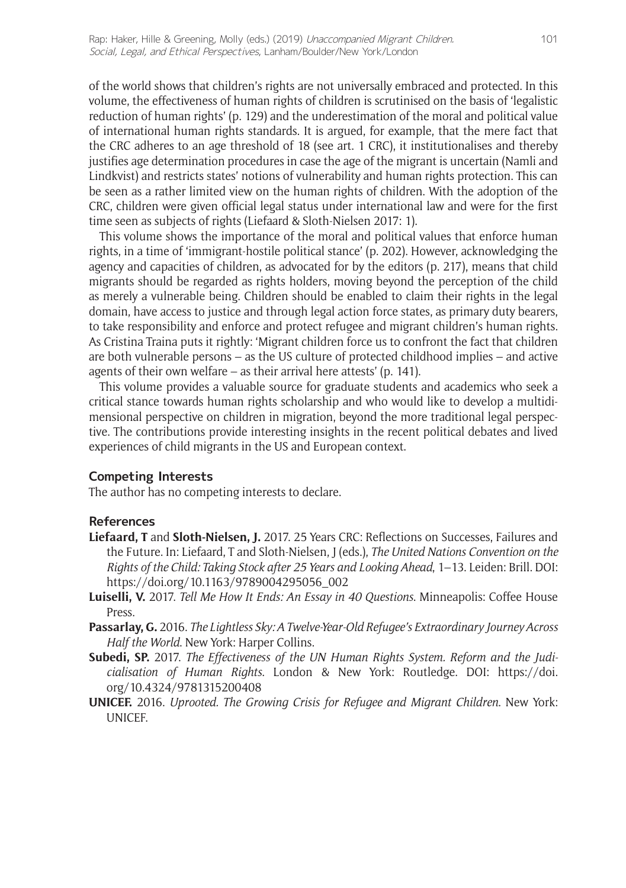of the world shows that children's rights are not universally embraced and protected. In this volume, the effectiveness of human rights of children is scrutinised on the basis of 'legalistic reduction of human rights' (p. 129) and the underestimation of the moral and political value of international human rights standards. It is argued, for example, that the mere fact that the CRC adheres to an age threshold of 18 (see art. 1 CRC), it institutionalises and thereby justifies age determination procedures in case the age of the migrant is uncertain (Namli and Lindkvist) and restricts states' notions of vulnerability and human rights protection. This can be seen as a rather limited view on the human rights of children. With the adoption of the CRC, children were given official legal status under international law and were for the first time seen as subjects of rights (Liefaard & Sloth-Nielsen 2017: 1).

This volume shows the importance of the moral and political values that enforce human rights, in a time of 'immigrant-hostile political stance' (p. 202). However, acknowledging the agency and capacities of children, as advocated for by the editors (p. 217), means that child migrants should be regarded as rights holders, moving beyond the perception of the child as merely a vulnerable being. Children should be enabled to claim their rights in the legal domain, have access to justice and through legal action force states, as primary duty bearers, to take responsibility and enforce and protect refugee and migrant children's human rights. As Cristina Traina puts it rightly: 'Migrant children force us to confront the fact that children are both vulnerable persons – as the US culture of protected childhood implies – and active agents of their own welfare – as their arrival here attests' (p. 141).

This volume provides a valuable source for graduate students and academics who seek a critical stance towards human rights scholarship and who would like to develop a multidimensional perspective on children in migration, beyond the more traditional legal perspective. The contributions provide interesting insights in the recent political debates and lived experiences of child migrants in the US and European context.

### **Competing Interests**

The author has no competing interests to declare.

### **References**

- **Liefaard, T** and **Sloth-Nielsen, J.** 2017. 25 Years CRC: Reflections on Successes, Failures and the Future. In: Liefaard, T and Sloth-Nielsen, J (eds.), *The United Nations Convention on the Rights of the Child: Taking Stock after 25 Years and Looking Ahead*, 1–13. Leiden: Brill. DOI: [https://doi.org/10.1163/9789004295056\\_002](https://doi.org/10.1163/9789004295056_002)
- **Luiselli, V.** 2017. *Tell Me How It Ends: An Essay in 40 Questions*. Minneapolis: Coffee House Press.
- **Passarlay, G.** 2016. *The Lightless Sky: A Twelve-Year-Old Refugee's Extraordinary Journey Across Half the World*. New York: Harper Collins.
- **Subedi, SP.** 2017. *The Effectiveness of the UN Human Rights System. Reform and the Judicialisation of Human Rights*. London & New York: Routledge. DOI: [https://doi.](https://doi.org/10.4324/9781315200408) [org/10.4324/9781315200408](https://doi.org/10.4324/9781315200408)
- **UNICEF.** 2016. *Uprooted. The Growing Crisis for Refugee and Migrant Children*. New York: UNICEF.